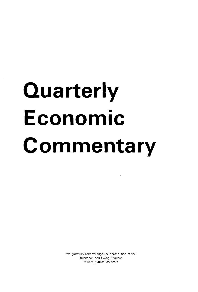# **Quarterly Economic Commentary**

we gratefully acknowledge the contribution of the Buchanan and Ewing Bequest toward publication costs

 $\bullet$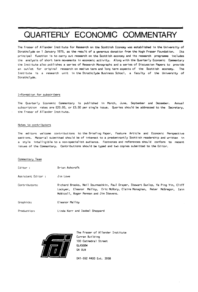# QUARTERLY ECONOMIC COMMENTARY

The Fraser of Allander Institute for Research on the Scottish Economy was established in the University of Strathclyde on 1 January 1975, as the result of a generous donation from the Hugh Fraser Foundation. Its principal function is to carry out research on the Scottish economy and its research programme includes the analysis of short term movements in economic activity. Along with the Quarterly Economic Commentary the Institute also publishes a series of Research Monographs and a series of Discussion Papers to provide an outlet for original research on medium term and long term aspects of the Scottish economy. The Institute is a research unit in the Strathclyde Business School, a faculty of the University of Strathclyde.

#### Information for subscribers

The Quarterly Economic Commentary is published in March, June, September and December. Annual subscription rates are £20.00, or £5.50 per single issue. Queries should be addressed to the Secretary, the Fraser of Allander Institute.

#### Notes to contributors

The editors welcome contributions to the Briefing Paper, Feature Article and Economic Perspective sections. Material submitted should be of interest to a predominantly Scottish readership and written in a style intelligible to a non-specialist audience. Footnotes and references should conform to recent issues of the Commentary. Contributions should be typed and two copies submitted to the Editor.

#### Commentary Team

| Editor:           | Brian Ashcroft                                                                                                                                                                                              |
|-------------------|-------------------------------------------------------------------------------------------------------------------------------------------------------------------------------------------------------------|
| Assistant Editor: | Jim Love                                                                                                                                                                                                    |
| Contributors:     | Richard Brooks, Neil Dourmashkin, Paul Draper, Stewart Dunlop, Ya Ping Yin, Cliff<br>Lockyer, Eleanor Malloy, Eric McRory, Claire Monaghan, Peter McGregor, Iain<br>McNicoll, Roger Perman and Jim Stevens. |
| Graphics:         | Eleanor Malloy                                                                                                                                                                                              |
| Production:       | Linda Kerr and Isobel Sheppard                                                                                                                                                                              |



The Fraser of Allander Institute Curran Building 100 Cathedral Street GLASGOW G4 0LN

041-552 4400 Ext. 3958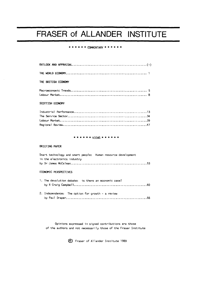# FRASER of ALLANDER INSTITUTE

#### **\*\*\*\*\* \* COMMENTARY \*\*\*\*\* \***

| THE BRITISH FOONOMY |  |
|---------------------|--|
|                     |  |

## 

#### SCOTTISH ECONOMY

#### \* \* \* \* \* \* **VIEWS \* \* \* \* \* \***

#### **BRIEFING PAPER**

|  |  |                             |  | Smart technology and smart people: Human resource development |  |  |
|--|--|-----------------------------|--|---------------------------------------------------------------|--|--|
|  |  | in the electronics industry |  |                                                               |  |  |
|  |  |                             |  |                                                               |  |  |

#### ECONOMIC PERSPECTIVES

|  | 1. The devolution debate: is there an economic case? |  |
|--|------------------------------------------------------|--|
|  |                                                      |  |

2. Independence: The option for growth - a review by Paul Draper 66

Opinions expressed in signed contributions are those of the authors and not necessarily those of the Fraser Institute

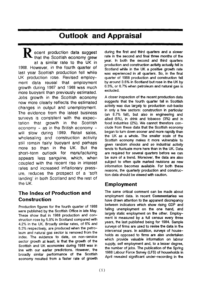## **Outlook and Appraisal**

**1** ecent production data suggest that the Scottish economy grew at a similar rate to the UK in 1988. However, in the fourth quarter of last year Scottish production fell while UK production rose. Revised employment data reveal that employment growth during 1987 and 1988 was much more buoyant than previously estimated. Jobs growth in the Scottish economy now more clearly reflects the estimated changes in output and unemployment. The evidence from the latest business surveys is consistent with the expectation that growth in the Scottish economy - as in the British economy will slow during 1989. Retail sales, wholesaling and construction activity still remain fairly buoyant and perhaps more so than in the UK. But the short-term outlook for manufacturing appears less sanguine, which, when coupled with the recent rise in interest rates and increased inflationary pressure, reduces the prospect of a 'soft landing' in both Scotland and the rest of the UK.

## **The Index of Production and Construction**

Production figures for the fourth quarter of 1988 were published by the Scottish Office in late May. These show that in 1988 production and construction rose by 5.9% in Scotland compared with 4.2% in the UK. Broadly similar rates, of 6% and 6.3% respectively, are produced when the petroleum and natural gas sector is removed from the index. The evidence to date, on non-service sector growth at least, is that the growth of the Scottish and UK economies during 1988 was in line with our earlier predictions. However, the broadly similar performance of the Scottish economy resulted from a faster rate of growth

during the first and third quarters and a slower rate in the second and final three months of the year. In both the second and third quarters production and construction activity actually fell in Scotland while in the UK a positive growth rate was experienced in all quarters. So, in the final quarter of 1988 production and construction fell by around 3.5% in Scotland but rose in the UK by 0.3%, or 0.7% when petroleum and natural gas is excluded.

A closer inspection of the recent production data suggests that the fourth quarter fall in Scottish activity was due largely to production cut-backs in only a few sectors: construction in particular (an 8.7% fall), but also in engineering and allied (5%), in drink and tobacco (3%) and in food industries (2%). We cannot therefore conclude from these data that the Scottish economy began to turn down sooner and more rapidly than the UK as a whole. The smaller scale of the Scottish economy makes it more vulnerable to given random shocks and so industrial activity tends to fluctuate more here than in the UK. Data are required for several quarters before we can be sure of a trend. Moreover, the data are also subject to often quite marked revisions as new information becomes available. For both these reasons, the quarterly production and construction data should be viewed with caution.

### **Employment**

The same critical comment can be made about employment data. In recent **Commentaries** we have drawn attention to the apparent discrepancy between indicators which show rising GDP and falling unemployment on the one hand, and largely static employment on the other. Employment is measured by a full census every three years, the last published being for 1984. Sample surveys of firms are used to revise the data in the intercensal years. In addition, surveys of households as opposed to firms are also undertaken which provide valuable information on labour supply, self employment and, to a lesser degree, the number of jobs. The publication of the Spring 1988 Labour Force Survey (LFS) of households in April revealed significant under-recording in the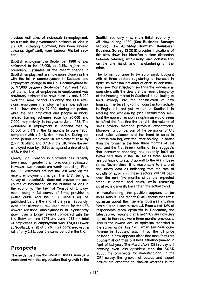previous estimates of individuals in employment. As a result, the government's estimate of jobs in the UK, including Scotland, has been revised upwards significantly (see **Labour Market** section).

Scottish employment in September 1988 is now estimated to be 47,000, or 2.5%, higher than previously. Estimates of the recent change in Scottish employment are now more closely in line with the fall in unemployment in Scotland and employment change in the UK. Unemployment fell by 37,000 between September 1987 and 1988, yet the number of employees in employment was previously estimated to have risen by only 5,000 over the same period. Following the LFS revisions, employees in employment are now estimated to have risen by 37,000, during the period, while the self employed and people in workrelated training schemes rose by 20,000 and 7,000, respectively, in the year to June 1988. The workforce in employment in Scotland rose by 65,000 or 3.1% in the 12 months to June 1988, compared with a 3.4% rise in the UK. During the same period employees in employment rose by 2% in Scotland and 3.1% in the UK, while the self employed rose by 10.8% as against a rise of only 4.5% in the UK.

Clearly, job creation in Scotland has recently been much greater than previously estimated. However, two caveats are worth recording. First, the LFS estimates are not the last word on the recent employment change. The LFS, being a survey of households, does not provide the best source of information on the number of jobs in the economy. The triennial Census of Employment, being a full survey of firms, provides a better guide and the 1987 Census will be published before the end of the year. Secondly, even after allowance has been made for the LFS upward revisions, employment is still significantly down over a longer period compared with the UK. Between June 1979 and June 1988 the total of employees in employment was 173,000 lower in Scotland, a fall of 8.2%. This compares with a fall of only 2.6% over the same period in the UK.

## **Prospects**

The evidence from the latest business surveys is consistent with the expectation that growth in the Scottish economy - as in the British economy will slow during 1989 (See **Business Surveys**  section). The April/May **Scottish Chambers' Business Survey (SCBS)** provides indications of this slow-down but identifies a clear distinction between retailing, wholesaling and construction on the one hand, and manufacturing on the other.

The former continue to be surprisingly buoyant with all three sectors registering an increase in optimism over the previous quarter. In construction (see **Construction** section) the evidence is consistent with the view that the recent buoyancy of the housing market in Scotland is continuing to feed strongly into the construction of new houses. The levelling-off of construction activity in England is not yet evident in Scotland. In retailing and wholesaling (see **Distribution** section) the upward revision in optimism would seem to reflect the fact that the trend in the volume of sales broadly matched previous expectations. Moreover, a comparison of the behaviour of UK retail sales volumes and the trend in sales in Scottish retailing, with the latter holding up better than the former in the final three months of last year and the first three months of this, suggests that consumer spending has recently held up better here than in the UK. So all three sectors are continuing to stand up well to the rise in base rates. Nevertheless, it is reasonable to interpret the survey data as indicating that the rate of growth of activity in these sectors will fall back over the next few months since the expected trend in orders and sales, while remaining positive, is generally lower than the actual trend.

In manufacturing, the position appears to be more serious. The recent **SCBS** shows that firms' optimism about their general business situation has suffered a severe reversal. From a net 12% of respondents more optimistic in December, the latest survey reports that a net 13% are now less optimistic than they were three months previously. This is the lowest level of optimism recorded in the survey since July 1986 when business confidence in Scotland was hit by the oil price collapse. It now appears clear that manufacturers optimism about their business situation peaked in April of last year. The March/April **CBI** survey is if anything even less optimistic than the SCBS about the prospects for manufacturing. In the CBI survey the growth of output and export orders are expected to slacken whereas in the